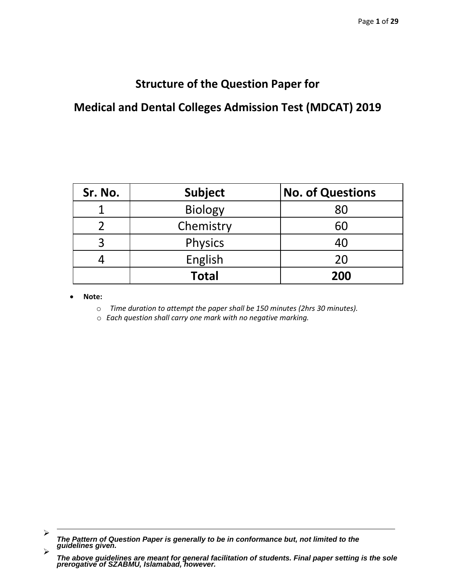# **Structure of the Question Paper for**

# **Medical and Dental Colleges Admission Test (MDCAT) 2019**

| Sr. No. | <b>Subject</b> | <b>No. of Questions</b> |
|---------|----------------|-------------------------|
|         | <b>Biology</b> | 80                      |
| า       | Chemistry      | 60                      |
| 3       | <b>Physics</b> | 40                      |
|         | English        | 20                      |
|         | <b>Total</b>   | 200                     |

**Note:**

- o *Time duration to attempt the paper shall be 150 minutes (2hrs 30 minutes).*
- o *Each question shall carry one mark with no negative marking.*

<sup>➤</sup> *The Pattern of Question Paper is generally to be in conformance but, not limited to the guidelines given.*  $\blacktriangleright$ 

*The above guidelines are meant for general facilitation of students. Final paper setting is the sole prerogative of SZABMU, Islamabad, however.*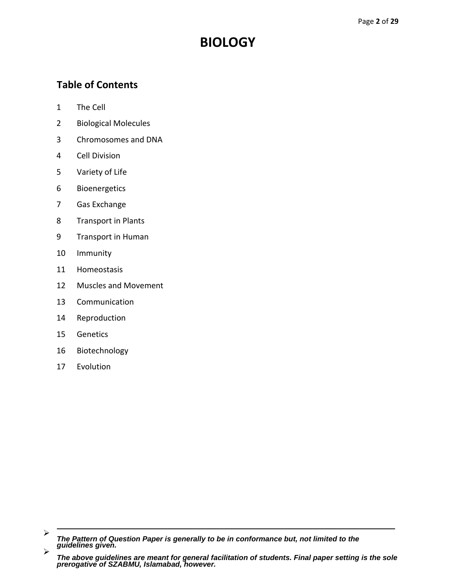# **BIOLOGY**

## **Table of Contents**

- [The Cell](#page-2-0)
- [Biological Molecules](#page-2-0)
- [Chromosomes and DNA](#page-2-0)
- [Cell Division](#page-3-0)
- [Variety of Life](#page-3-0)
- Bioenergetics
- [Gas Exchange](#page-4-0)
- [Transport in Plants](#page-4-0)
- [Transport in Human](#page-4-0)
- [Immunity](#page-4-0)
- [Homeostasis](#page-5-0)
- [Muscles and Movement](#page-5-0)
- [Communication](#page-5-0)
- [Reproduction](#page-5-0)
- [Genetics](#page-6-0)
- [Biotechnology](#page-6-0)
- [Evolution](#page-6-0)

<sup>➤</sup> *The Pattern of Question Paper is generally to be in conformance but, not limited to the guidelines given.*  $\blacktriangleright$ 

*The above guidelines are meant for general facilitation of students. Final paper setting is the sole prerogative of SZABMU, Islamabad, however.*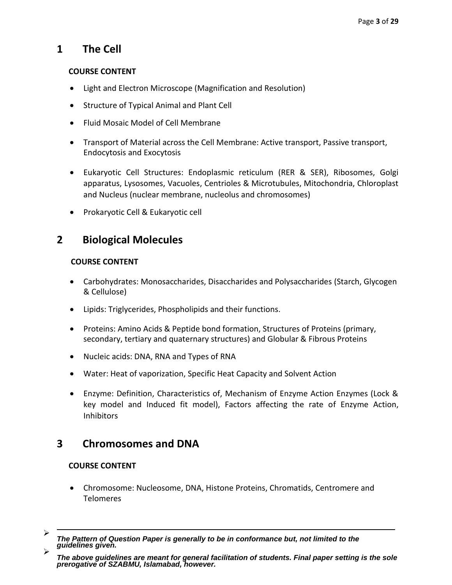## <span id="page-2-0"></span>**1 The Cell**

### **COURSE CONTENT**

- Light and Electron Microscope (Magnification and Resolution)
- Structure of Typical Animal and Plant Cell
- Fluid Mosaic Model of Cell Membrane
- Transport of Material across the Cell Membrane: Active transport, Passive transport, Endocytosis and Exocytosis
- Eukaryotic Cell Structures: Endoplasmic reticulum (RER & SER), Ribosomes, Golgi apparatus, Lysosomes, Vacuoles, Centrioles & Microtubules, Mitochondria, Chloroplast and Nucleus (nuclear membrane, nucleolus and chromosomes)
- Prokaryotic Cell & Eukaryotic cell

## **2 Biological Molecules**

## **COURSE CONTENT**

- Carbohydrates: Monosaccharides, Disaccharides and Polysaccharides (Starch, Glycogen & Cellulose)
- Lipids: Triglycerides, Phospholipids and their functions.
- Proteins: Amino Acids & Peptide bond formation, Structures of Proteins (primary, secondary, tertiary and quaternary structures) and Globular & Fibrous Proteins
- Nucleic acids: DNA, RNA and Types of RNA
- Water: Heat of vaporization, Specific Heat Capacity and Solvent Action
- Enzyme: Definition, Characteristics of, Mechanism of Enzyme Action Enzymes (Lock & key model and Induced fit model), Factors affecting the rate of Enzyme Action, **Inhibitors**

## **3 Chromosomes and DNA**

- Chromosome: Nucleosome, DNA, Histone Proteins, Chromatids, Centromere and Telomeres
- $\blacktriangleright$ *The Pattern of Question Paper is generally to be in conformance but, not limited to the guidelines given.*  $\blacktriangleright$

*The above guidelines are meant for general facilitation of students. Final paper setting is the sole prerogative of SZABMU, Islamabad, however.*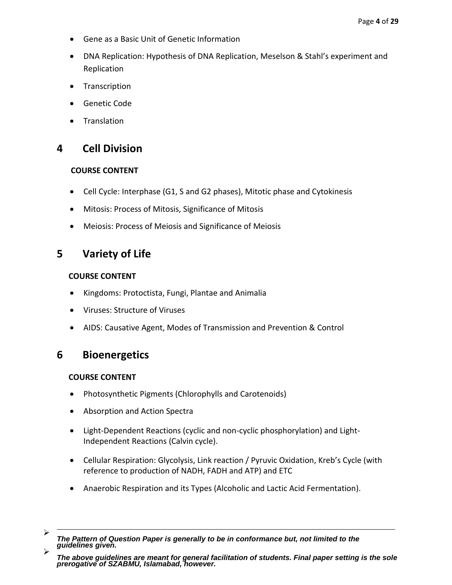- <span id="page-3-0"></span>Gene as a Basic Unit of Genetic Information
- DNA Replication: Hypothesis of DNA Replication, Meselson & Stahl's experiment and Replication
- **Transcription**
- Genetic Code
- **Translation**

## **4 Cell Division**

## **COURSE CONTENT**

- Cell Cycle: Interphase (G1, S and G2 phases), Mitotic phase and Cytokinesis
- Mitosis: Process of Mitosis, Significance of Mitosis
- Meiosis: Process of Meiosis and Significance of Meiosis

## **5 Variety of Life**

## **COURSE CONTENT**

- Kingdoms: Protoctista, Fungi, Plantae and Animalia
- Viruses: Structure of Viruses
- AIDS: Causative Agent, Modes of Transmission and Prevention & Control

## **6 Bioenergetics**

- Photosynthetic Pigments (Chlorophylls and Carotenoids)
- Absorption and Action Spectra
- Light-Dependent Reactions (cyclic and non-cyclic phosphorylation) and Light-Independent Reactions (Calvin cycle).
- Cellular Respiration: Glycolysis, Link reaction / Pyruvic Oxidation, Kreb's Cycle (with reference to production of NADH, FADH and ATP) and ETC
- Anaerobic Respiration and its Types (Alcoholic and Lactic Acid Fermentation).
- $\blacktriangleright$ *The Pattern of Question Paper is generally to be in conformance but, not limited to the guidelines given.*  $\blacktriangleright$

*The above guidelines are meant for general facilitation of students. Final paper setting is the sole prerogative of SZABMU, Islamabad, however.*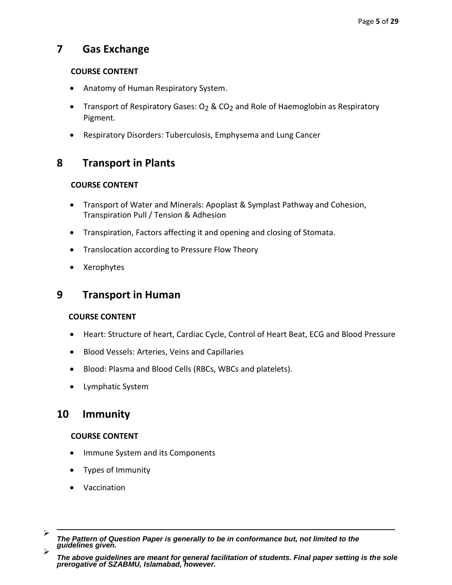## <span id="page-4-0"></span>**7 Gas Exchange**

## **COURSE CONTENT**

- Anatomy of Human Respiratory System.
- Transport of Respiratory Gases: O<sub>2</sub> & CO<sub>2</sub> and Role of Haemoglobin as Respiratory Pigment.
- Respiratory Disorders: Tuberculosis, Emphysema and Lung Cancer

## **8 Transport in Plants**

## **COURSE CONTENT**

- Transport of Water and Minerals: Apoplast & Symplast Pathway and Cohesion, Transpiration Pull / Tension & Adhesion
- Transpiration, Factors affecting it and opening and closing of Stomata.
- Translocation according to Pressure Flow Theory
- Xerophytes

## **9 Transport in Human**

## **COURSE CONTENT**

- Heart: Structure of heart, Cardiac Cycle, Control of Heart Beat, ECG and Blood Pressure
- Blood Vessels: Arteries, Veins and Capillaries
- Blood: Plasma and Blood Cells (RBCs, WBCs and platelets).
- Lymphatic System

## **10 Immunity**

- Immune System and its Components
- Types of Immunity
- Vaccination

 $\blacktriangleright$ *The Pattern of Question Paper is generally to be in conformance but, not limited to the guidelines given.*  $\blacktriangleright$ 

*The above guidelines are meant for general facilitation of students. Final paper setting is the sole prerogative of SZABMU, Islamabad, however.*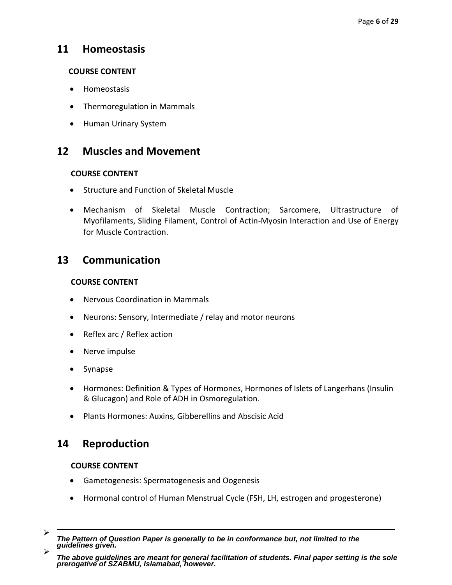## <span id="page-5-0"></span>**11 Homeostasis**

## **COURSE CONTENT**

- Homeostasis
- Thermoregulation in Mammals
- Human Urinary System

## **12 Muscles and Movement**

### **COURSE CONTENT**

- Structure and Function of Skeletal Muscle
- Mechanism of Skeletal Muscle Contraction; Sarcomere, Ultrastructure of Myofilaments, Sliding Filament, Control of Actin-Myosin Interaction and Use of Energy for Muscle Contraction.

## **13 Communication**

### **COURSE CONTENT**

- Nervous Coordination in Mammals
- Neurons: Sensory, Intermediate / relay and motor neurons
- Reflex arc / Reflex action
- Nerve impulse
- Synapse
- Hormones: Definition & Types of Hormones, Hormones of Islets of Langerhans (Insulin & Glucagon) and Role of ADH in Osmoregulation.
- Plants Hormones: Auxins, Gibberellins and Abscisic Acid

## **14 Reproduction**

- Gametogenesis: Spermatogenesis and Oogenesis
- Hormonal control of Human Menstrual Cycle (FSH, LH, estrogen and progesterone)
- $\blacktriangleright$ *The Pattern of Question Paper is generally to be in conformance but, not limited to the guidelines given.*  $\blacktriangleright$

*The above guidelines are meant for general facilitation of students. Final paper setting is the sole prerogative of SZABMU, Islamabad, however.*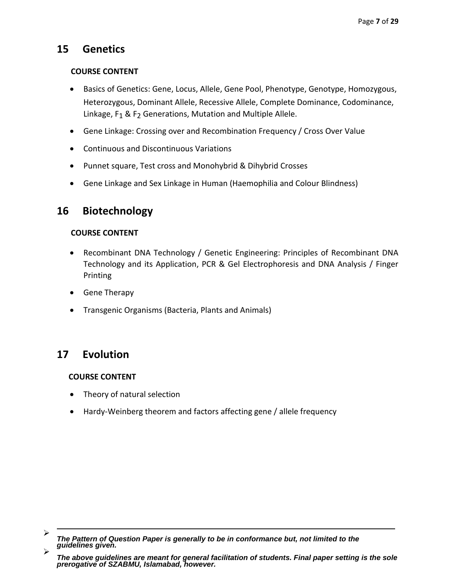## <span id="page-6-0"></span>**15 Genetics**

### **COURSE CONTENT**

- Basics of Genetics: Gene, Locus, Allele, Gene Pool, Phenotype, Genotype, Homozygous, Heterozygous, Dominant Allele, Recessive Allele, Complete Dominance, Codominance, Linkage, F<sub>1</sub> & F<sub>2</sub> Generations, Mutation and Multiple Allele.
- Gene Linkage: Crossing over and Recombination Frequency / Cross Over Value
- Continuous and Discontinuous Variations
- Punnet square, Test cross and Monohybrid & Dihybrid Crosses
- Gene Linkage and Sex Linkage in Human (Haemophilia and Colour Blindness)

## **16 Biotechnology**

## **COURSE CONTENT**

- Recombinant DNA Technology / Genetic Engineering: Principles of Recombinant DNA Technology and its Application, PCR & Gel Electrophoresis and DNA Analysis / Finger Printing
- Gene Therapy
- Transgenic Organisms (Bacteria, Plants and Animals)

## **17 Evolution**

- Theory of natural selection
- Hardy-Weinberg theorem and factors affecting gene / allele frequency

 $\blacktriangleright$ *The Pattern of Question Paper is generally to be in conformance but, not limited to the guidelines given.*  $\blacktriangleright$ 

*The above guidelines are meant for general facilitation of students. Final paper setting is the sole prerogative of SZABMU, Islamabad, however.*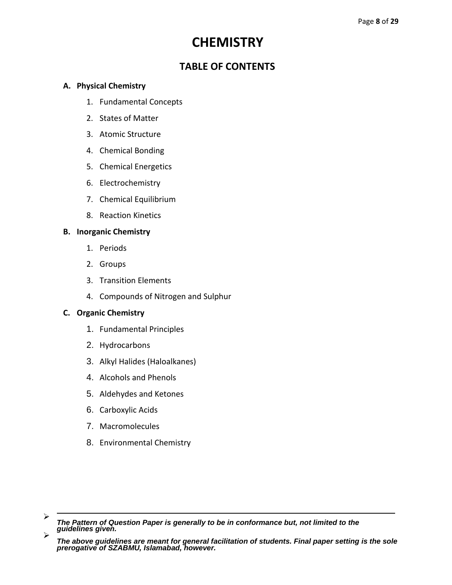# **CHEMISTRY**

## **TABLE OF CONTENTS**

## **A. Physical Chemistry**

- 1. Fundamental Concepts
- 2. States of Matter
- 3. Atomic Structure
- 4. Chemical Bonding
- 5. Chemical Energetics
- 6. Electrochemistry
- 7. Chemical Equilibrium
- 8. Reaction Kinetics

## **B. Inorganic Chemistry**

- 1. Periods
- 2. Groups
- 3. Transition Elements
- 4. Compounds of Nitrogen and Sulphur

## **C. Organic Chemistry**

- 1. Fundamental Principles
- 2. Hydrocarbons
- 3. Alkyl Halides (Haloalkanes)
- 4. Alcohols and Phenols
- 5. Aldehydes and Ketones
- 6. Carboxylic Acids
- 7. Macromolecules
- 8. Environmental Chemistry

 $\blacktriangleright$ *The Pattern of Question Paper is generally to be in conformance but, not limited to the guidelines given.*  $\blacktriangleright$ 

*The above guidelines are meant for general facilitation of students. Final paper setting is the sole prerogative of SZABMU, Islamabad, however.*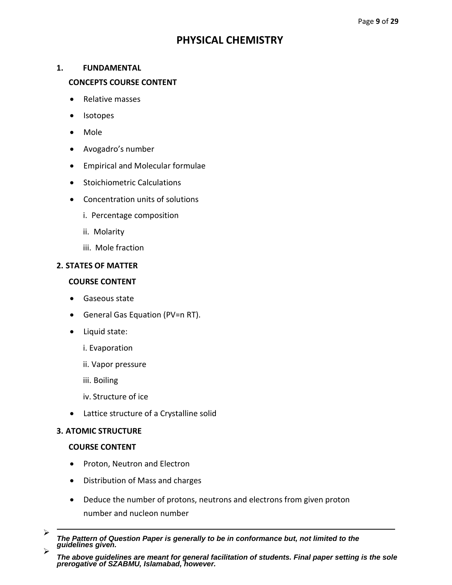## **PHYSICAL CHEMISTRY**

### **1. FUNDAMENTAL**

### **CONCEPTS COURSE CONTENT**

- Relative masses
- Isotopes
- Mole
- Avogadro's number
- Empirical and Molecular formulae
- **•** Stoichiometric Calculations
- Concentration units of solutions
	- i. Percentage composition
	- ii. Molarity
	- iii. Mole fraction

#### **2. STATES OF MATTER**

#### **COURSE CONTENT**

- Gaseous state
- General Gas Equation (PV=n RT).
- Liquid state:
	- i. Evaporation
	- ii. Vapor pressure
	- iii. Boiling
	- iv. Structure of ice
- Lattice structure of a Crystalline solid

#### **3. ATOMIC STRUCTURE**

- Proton, Neutron and Electron
- Distribution of Mass and charges
- Deduce the number of protons, neutrons and electrons from given proton number and nucleon number
- $\blacktriangleright$ *The Pattern of Question Paper is generally to be in conformance but, not limited to the guidelines given.*  $\blacktriangleright$

*The above guidelines are meant for general facilitation of students. Final paper setting is the sole prerogative of SZABMU, Islamabad, however.*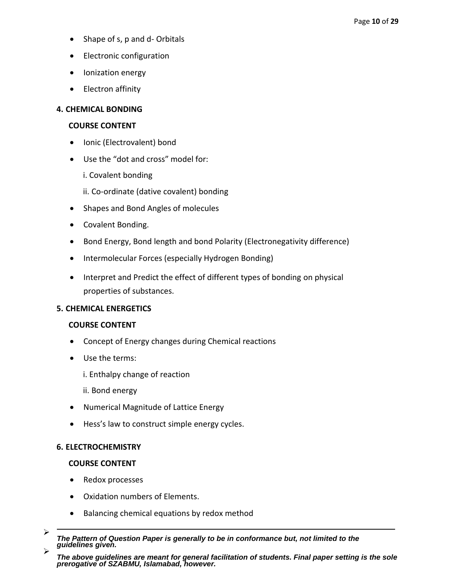- Shape of s, p and d- Orbitals
- Electronic configuration
- Ionization energy
- Electron affinity

### **4. CHEMICAL BONDING**

### **COURSE CONTENT**

- Ionic (Electrovalent) bond
- Use the "dot and cross" model for:
	- i. Covalent bonding
	- ii. Co-ordinate (dative covalent) bonding
- Shapes and Bond Angles of molecules
- Covalent Bonding.
- Bond Energy, Bond length and bond Polarity (Electronegativity difference)
- Intermolecular Forces (especially Hydrogen Bonding)
- Interpret and Predict the effect of different types of bonding on physical properties of substances.

### **5. CHEMICAL ENERGETICS**

### **COURSE CONTENT**

- Concept of Energy changes during Chemical reactions
- Use the terms:
	- i. Enthalpy change of reaction
	- ii. Bond energy
- Numerical Magnitude of Lattice Energy
- **•** Hess's law to construct simple energy cycles.

### **6. ELECTROCHEMISTRY**

- Redox processes
- Oxidation numbers of Elements.
- Balancing chemical equations by redox method
- $\blacktriangleright$ *The Pattern of Question Paper is generally to be in conformance but, not limited to the guidelines given.*  $\blacktriangleright$

*The above guidelines are meant for general facilitation of students. Final paper setting is the sole prerogative of SZABMU, Islamabad, however.*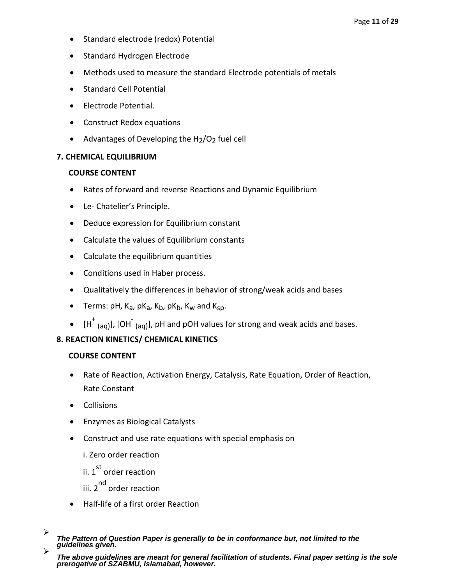- Standard electrode (redox) Potential
- Standard Hydrogen Electrode
- Methods used to measure the standard Electrode potentials of metals
- Standard Cell Potential
- Electrode Potential.
- Construct Redox equations
- Advantages of Developing the  $H<sub>2</sub>/O<sub>2</sub>$  fuel cell

### **7. CHEMICAL EQUILIBRIUM**

### **COURSE CONTENT**

- Rates of forward and reverse Reactions and Dynamic Equilibrium
- Le- Chatelier's Principle.
- Deduce expression for Equilibrium constant
- Calculate the values of Equilibrium constants
- Calculate the equilibrium quantities
- Conditions used in Haber process.
- Qualitatively the differences in behavior of strong/weak acids and bases
- Terms: pH,  $K_a$ , p $K_a$ ,  $K_b$ , p $K_b$ ,  $K_w$  and  $K_{SD}$ .
- $\bullet$  [H<sup>+</sup> <sub>(aq)</sub>], [OH<sup>-</sup> <sub>(aq)</sub>], pH and pOH values for strong and weak acids and bases.

## **8. REACTION KINETICS/ CHEMICAL KINETICS**

- Rate of Reaction, Activation Energy, Catalysis, Rate Equation, Order of Reaction, Rate Constant
- Collisions
- Enzymes as Biological Catalysts
- Construct and use rate equations with special emphasis on
	- i. Zero order reaction
	- ii. 1<sup>st</sup> order reaction
	- iii. 2<sup>nd</sup> order reaction
- Half-life of a first order Reaction
- $\blacktriangleright$ *The Pattern of Question Paper is generally to be in conformance but, not limited to the guidelines given.*  $\blacktriangleright$

*The above guidelines are meant for general facilitation of students. Final paper setting is the sole prerogative of SZABMU, Islamabad, however.*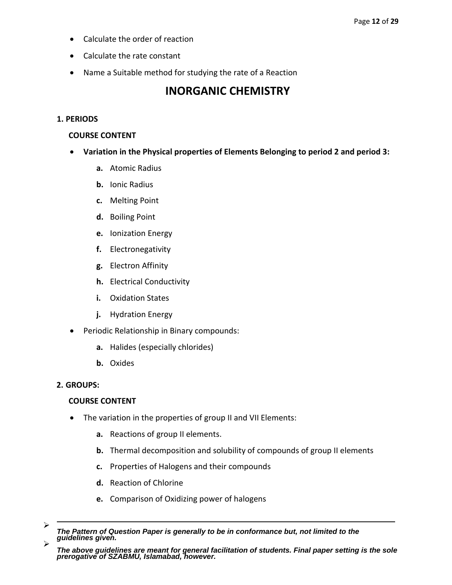- Calculate the order of reaction
- Calculate the rate constant
- Name a Suitable method for studying the rate of a Reaction

## **INORGANIC CHEMISTRY**

#### **1. PERIODS**

#### **COURSE CONTENT**

- **Variation in the Physical properties of Elements Belonging to period 2 and period 3:**
	- **a.** Atomic Radius
	- **b.** Ionic Radius
	- **c.** Melting Point
	- **d.** Boiling Point
	- **e.** Ionization Energy
	- **f.** Electronegativity
	- **g.** Electron Affinity
	- **h.** Electrical Conductivity
	- **i.** Oxidation States
	- **j.** Hydration Energy
- Periodic Relationship in Binary compounds:
	- **a.** Halides (especially chlorides)
	- **b.** Oxides

### **2. GROUPS:**

- The variation in the properties of group II and VII Elements:
	- **a.** Reactions of group II elements.
	- **b.** Thermal decomposition and solubility of compounds of group II elements
	- **c.** Properties of Halogens and their compounds
	- **d.** Reaction of Chlorine
	- **e.** Comparison of Oxidizing power of halogens
- ⋗ *The Pattern of Question Paper is generally to be in conformance but, not limited to the guidelines given.* ⋗
- *The above guidelines are meant for general facilitation of students. Final paper setting is the sole prerogative of SZABMU, Islamabad, however.*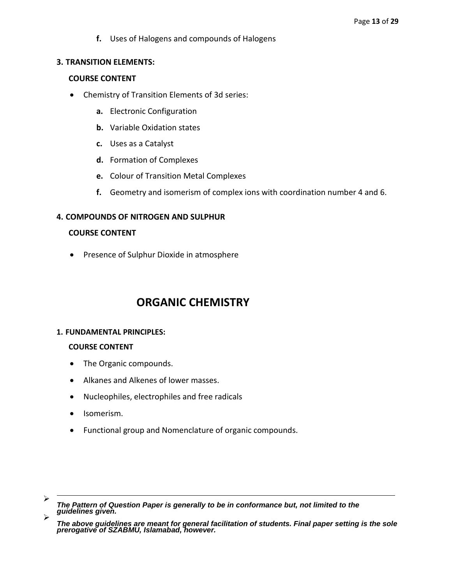**f.** Uses of Halogens and compounds of Halogens

#### **3. TRANSITION ELEMENTS:**

#### **COURSE CONTENT**

- Chemistry of Transition Elements of 3d series:
	- **a.** Electronic Configuration
	- **b.** Variable Oxidation states
	- **c.** Uses as a Catalyst
	- **d.** Formation of Complexes
	- **e.** Colour of Transition Metal Complexes
	- **f.** Geometry and isomerism of complex ions with coordination number 4 and 6.

### **4. COMPOUNDS OF NITROGEN AND SULPHUR**

#### **COURSE CONTENT**

Presence of Sulphur Dioxide in atmosphere

## **ORGANIC CHEMISTRY**

#### **1. FUNDAMENTAL PRINCIPLES:**

- The Organic compounds.
- Alkanes and Alkenes of lower masses.
- Nucleophiles, electrophiles and free radicals
- Isomerism.
- Functional group and Nomenclature of organic compounds.

 $\blacktriangleright$ *The Pattern of Question Paper is generally to be in conformance but, not limited to the guidelines given.*  $\blacktriangleright$ 

*The above guidelines are meant for general facilitation of students. Final paper setting is the sole prerogative of SZABMU, Islamabad, however.*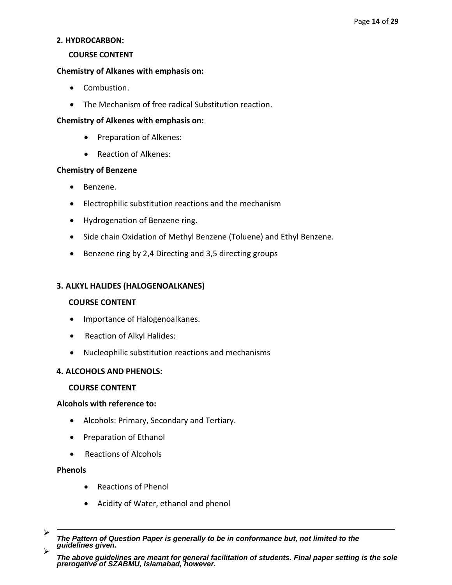#### **2. HYDROCARBON:**

#### **COURSE CONTENT**

### **Chemistry of Alkanes with emphasis on:**

- Combustion.
- The Mechanism of free radical Substitution reaction.

### **Chemistry of Alkenes with emphasis on:**

- Preparation of Alkenes:
- Reaction of Alkenes:

### **Chemistry of Benzene**

- Benzene.
- Electrophilic substitution reactions and the mechanism
- Hydrogenation of Benzene ring.
- Side chain Oxidation of Methyl Benzene (Toluene) and Ethyl Benzene.
- Benzene ring by 2,4 Directing and 3,5 directing groups

### **3. ALKYL HALIDES (HALOGENOALKANES)**

### **COURSE CONTENT**

- Importance of Halogenoalkanes.
- Reaction of Alkyl Halides:
- Nucleophilic substitution reactions and mechanisms

### **4. ALCOHOLS AND PHENOLS:**

### **COURSE CONTENT**

### **Alcohols with reference to:**

- Alcohols: Primary, Secondary and Tertiary.
- Preparation of Ethanol
- Reactions of Alcohols

### **Phenols**

- Reactions of Phenol
- Acidity of Water, ethanol and phenol
- $\blacktriangleright$ *The Pattern of Question Paper is generally to be in conformance but, not limited to the guidelines given.*  $\blacktriangleright$

*The above guidelines are meant for general facilitation of students. Final paper setting is the sole prerogative of SZABMU, Islamabad, however.*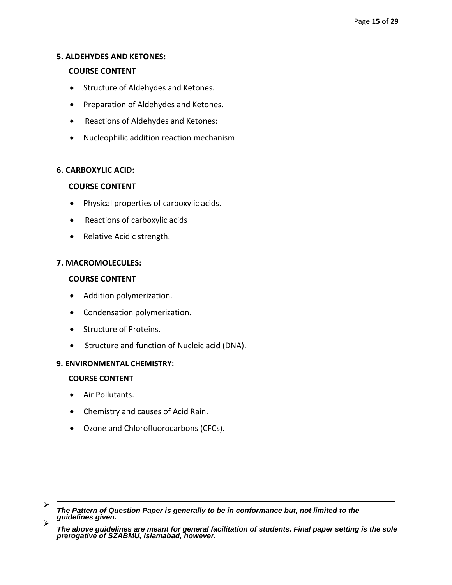#### **5. ALDEHYDES AND KETONES:**

#### **COURSE CONTENT**

- Structure of Aldehydes and Ketones.
- Preparation of Aldehydes and Ketones.
- Reactions of Aldehydes and Ketones:
- Nucleophilic addition reaction mechanism

#### **6. CARBOXYLIC ACID:**

#### **COURSE CONTENT**

- Physical properties of carboxylic acids.
- Reactions of carboxylic acids
- Relative Acidic strength.

### **7. MACROMOLECULES:**

#### **COURSE CONTENT**

- Addition polymerization.
- Condensation polymerization.
- Structure of Proteins.
- Structure and function of Nucleic acid (DNA).

#### **9. ENVIRONMENTAL CHEMISTRY:**

### **COURSE CONTENT**

Air Pollutants.

 $\overline{a}$ 

- Chemistry and causes of Acid Rain.
- Ozone and Chlorofluorocarbons (CFCs).

<sup>⋗</sup> *The Pattern of Question Paper is generally to be in conformance but, not limited to the guidelines given.*  $\blacktriangleright$ 

*The above guidelines are meant for general facilitation of students. Final paper setting is the sole prerogative of SZABMU, Islamabad, however.*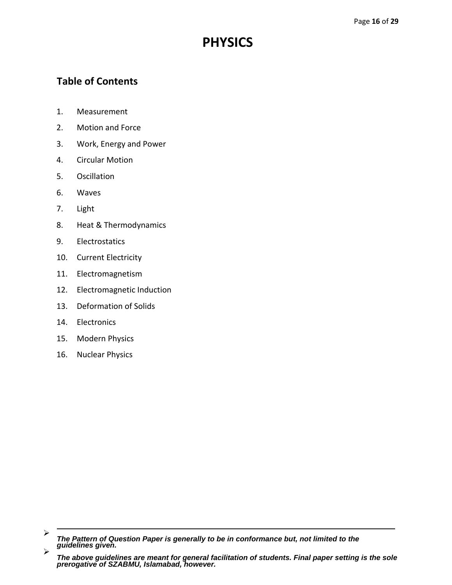# **PHYSICS**

## **Table of Contents**

- 1. Measurement
- 2. Motion and Force
- 3. Work, Energy and Power
- 4. Circular Motion
- 5. Oscillation
- 6. Waves
- 7. Light
- 8. Heat & Thermodynamics
- 9. Electrostatics
- 10. Current Electricity
- 11. Electromagnetism
- 12. Electromagnetic Induction
- 13. Deformation of Solids
- 14. Electronics
- 15. Modern Physics
- 16. Nuclear Physics

<sup>➤</sup> *The Pattern of Question Paper is generally to be in conformance but, not limited to the guidelines given.*  $\blacktriangleright$ 

*The above guidelines are meant for general facilitation of students. Final paper setting is the sole prerogative of SZABMU, Islamabad, however.*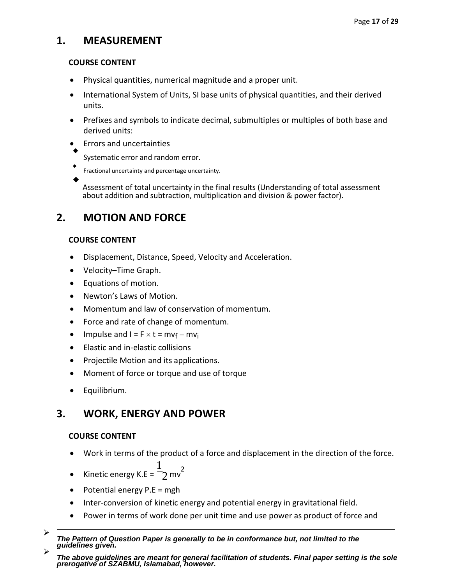## **1. MEASUREMENT**

## **COURSE CONTENT**

- Physical quantities, numerical magnitude and a proper unit.
- International System of Units, SI base units of physical quantities, and their derived units.
- Prefixes and symbols to indicate decimal, submultiples or multiples of both base and derived units:
- Errors and uncertainties
- $\blacklozenge$ Systematic error and random error.
- $\bullet$ Fractional uncertainty and percentage uncertainty.  $\blacklozenge$

Assessment of total uncertainty in the final results (Understanding of total assessment about addition and subtraction, multiplication and division & power factor).

## **2. MOTION AND FORCE**

## **COURSE CONTENT**

- Displacement, Distance, Speed, Velocity and Acceleration.
- Velocity–Time Graph.
- Equations of motion.
- Newton's Laws of Motion.
- Momentum and law of conservation of momentum.
- Force and rate of change of momentum.
- Impulse and  $I = F \times t = mv_f mv_i$
- Elastic and in-elastic collisions
- Projectile Motion and its applications.
- Moment of force or torque and use of torque
- Equilibrium.

## **3. WORK, ENERGY AND POWER**

- Work in terms of the product of a force and displacement in the direction of the force.
- $\bullet$  Kinetic energy K.E = 1  $2 \text{ mv}^2$
- Potential energy  $P.E = mgh$
- Inter-conversion of kinetic energy and potential energy in gravitational field.
- Power in terms of work done per unit time and use power as product of force and

 $\blacktriangleright$ *The Pattern of Question Paper is generally to be in conformance but, not limited to the guidelines given.*

 $\blacktriangleright$ *The above guidelines are meant for general facilitation of students. Final paper setting is the sole prerogative of SZABMU, Islamabad, however.*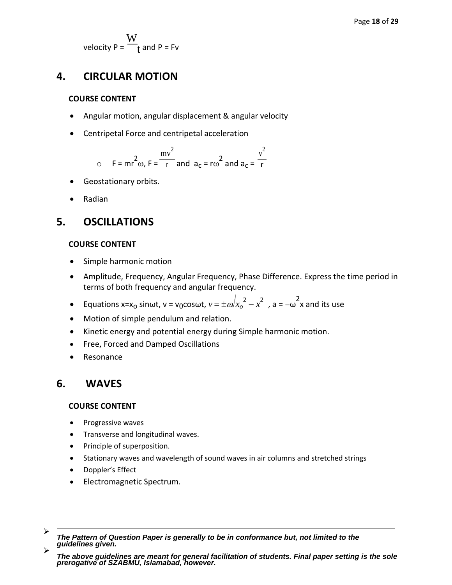velocity P = W  $\mathfrak{t}$  and P = Fv

## **4. CIRCULAR MOTION**

### **COURSE CONTENT**

- Angular motion, angular displacement & angular velocity
- Centripetal Force and centripetal acceleration

$$
\circ \quad \mathsf{F} = \mathsf{mr}^2 \omega, \mathsf{F} = \frac{\mathsf{mv}^2}{\mathsf{r}} \text{ and } \mathsf{a}_c = \mathsf{r}\omega^2 \text{ and } \mathsf{a}_c = \frac{\mathsf{v}^2}{\mathsf{r}}
$$

- Geostationary orbits.
- Radian

## **5. OSCILLATIONS**

### **COURSE CONTENT**

- Simple harmonic motion
- Amplitude, Frequency, Angular Frequency, Phase Difference. Express the time period in terms of both frequency and angular frequency.
- **Equations x=x<sub>0</sub> sinwt, v = v<sub>0</sub>coswt,**  $v = \pm \omega/x_o^2 x^2$  , a =  $-\omega^2$ x and its use
- Motion of simple pendulum and relation.
- Kinetic energy and potential energy during Simple harmonic motion.
- Free, Forced and Damped Oscillations
- Resonance

## **6. WAVES**

- Progressive waves
- Transverse and longitudinal waves.
- Principle of superposition.
- Stationary waves and wavelength of sound waves in air columns and stretched strings
- Doppler's Effect
- Electromagnetic Spectrum.
- $\blacktriangleright$ *The Pattern of Question Paper is generally to be in conformance but, not limited to the guidelines given.*  $\blacktriangleright$

*The above guidelines are meant for general facilitation of students. Final paper setting is the sole prerogative of SZABMU, Islamabad, however.*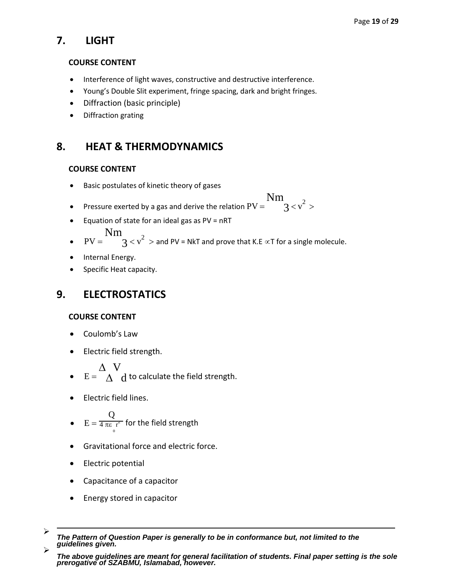## **7. LIGHT**

### **COURSE CONTENT**

- Interference of light waves, constructive and destructive interference.
- Young's Double Slit experiment, fringe spacing, dark and bright fringes.
- Diffraction (basic principle)
- Diffraction grating

## **8. HEAT & THERMODYNAMICS**

## **COURSE CONTENT**

- Basic postulates of kinetic theory of gases
- Pressure exerted by a gas and derive the relation  $PV =$ Nm  $3 < v^2 >$
- **•** Equation of state for an ideal gas as  $PV = nRT$

$$
\operatorname{Nm}
$$

- $PV =$  $\mathcal{S} < v^2 >$  and PV = NkT and prove that K.E  $\propto$ T for a single molecule.
- Internal Energy.
- Specific Heat capacity.

## **9. ELECTROSTATICS**

## **COURSE CONTENT**

- Coulomb's Law
- Electric field strength.

 $\Delta$  V

- $E = \Delta d$  to calculate the field strength.
- Electric field lines.

• 
$$
E = \frac{Q}{4 \pi \epsilon_r r^2}
$$
 for the field strength

- Gravitational force and electric force.
- Electric potential
- Capacitance of a capacitor
- Energy stored in capacitor
- $\blacktriangleright$ *The Pattern of Question Paper is generally to be in conformance but, not limited to the guidelines given.* ⋗

*The above guidelines are meant for general facilitation of students. Final paper setting is the sole prerogative of SZABMU, Islamabad, however.*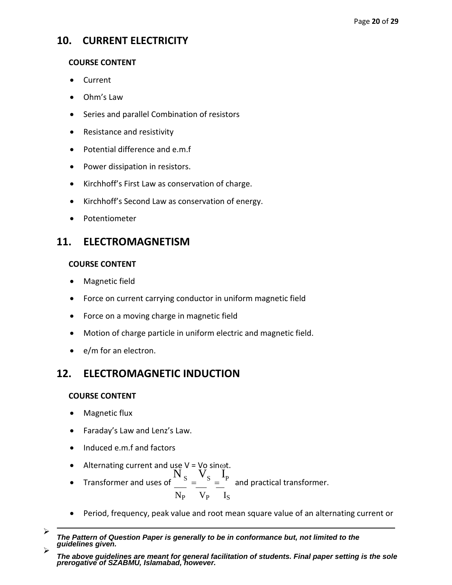## **10. CURRENT ELECTRICITY**

### **COURSE CONTENT**

- Current
- Ohm's Law
- Series and parallel Combination of resistors
- Resistance and resistivity
- Potential difference and e.m.f
- Power dissipation in resistors.
- Kirchhoff's First Law as conservation of charge.
- Kirchhoff's Second Law as conservation of energy.
- Potentiometer

## **11. ELECTROMAGNETISM**

### **COURSE CONTENT**

- Magnetic field
- Force on current carrying conductor in uniform magnetic field
- Force on a moving charge in magnetic field
- Motion of charge particle in uniform electric and magnetic field.
- e/m for an electron.

## **12. ELECTROMAGNETIC INDUCTION**

- Magnetic flux
- Faraday's Law and Lenz's Law.
- Induced e.m.f and factors
- Alternating current and use  $V = V$ o sin $\omega t$ .
- Transformer and uses of  $\frac{N}{s} = \frac{V}{s}$  $\mathbf{I}_{\rm P}$  and practical transformer.  $N_P$   $V_P$   $I_S$
- Period, frequency, peak value and root mean square value of an alternating current or
- $\blacktriangleright$ *The Pattern of Question Paper is generally to be in conformance but, not limited to the guidelines given.* ↘

*The above guidelines are meant for general facilitation of students. Final paper setting is the sole prerogative of SZABMU, Islamabad, however.*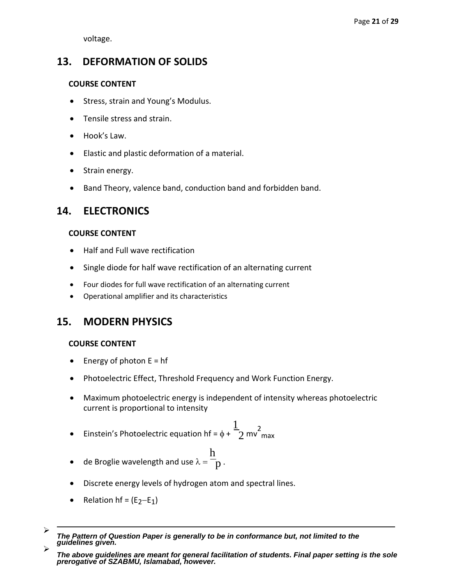voltage.

## **13. DEFORMATION OF SOLIDS**

## **COURSE CONTENT**

- Stress, strain and Young's Modulus.
- Tensile stress and strain.
- Hook's Law.
- Elastic and plastic deformation of a material.
- Strain energy.
- Band Theory, valence band, conduction band and forbidden band.

## **14. ELECTRONICS**

## **COURSE CONTENT**

- Half and Full wave rectification
- Single diode for half wave rectification of an alternating current
- Four diodes for full wave rectification of an alternating current
- Operational amplifier and its characteristics

## **15. MODERN PHYSICS**

- Energy of photon  $E = hf$
- Photoelectric Effect, Threshold Frequency and Work Function Energy.
- Maximum photoelectric energy is independent of intensity whereas photoelectric current is proportional to intensity
- Einstein's Photoelectric equation hf =  $\phi$  + 1  $2 \text{ mv}^2$ max
- de Broglie wavelength and use  $\lambda =$ h p .
- Discrete energy levels of hydrogen atom and spectral lines.
- Relation hf =  $(E<sub>2</sub>-E<sub>1</sub>)$
- $\blacktriangleright$ *The Pattern of Question Paper is generally to be in conformance but, not limited to the guidelines given.*  $\triangleright$

*The above guidelines are meant for general facilitation of students. Final paper setting is the sole prerogative of SZABMU, Islamabad, however.*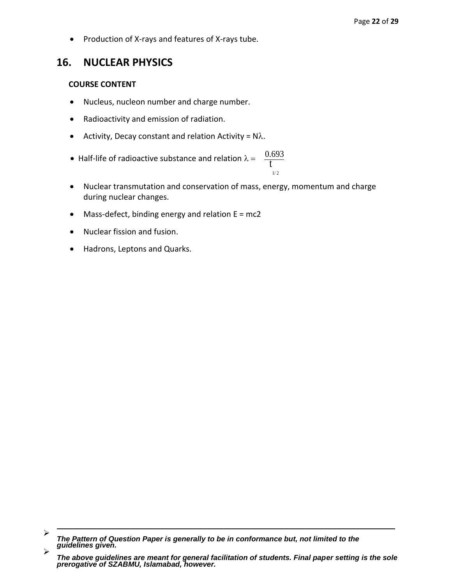• Production of X-rays and features of X-rays tube.

## **16. NUCLEAR PHYSICS**

- Nucleus, nucleon number and charge number.
- Radioactivity and emission of radiation.
- Activity, Decay constant and relation Activity =  $N\lambda$ .
- Half-life of radioactive substance and relation  $\lambda =$  $\frac{0.693}{t}$ 1/ 2
- Nuclear transmutation and conservation of mass, energy, momentum and charge during nuclear changes.
- $\bullet$  Mass-defect, binding energy and relation  $E = mc2$
- Nuclear fission and fusion.
- Hadrons, Leptons and Quarks.

 $\blacktriangleright$ *The Pattern of Question Paper is generally to be in conformance but, not limited to the guidelines given.*  $\blacktriangleright$ 

*The above guidelines are meant for general facilitation of students. Final paper setting is the sole prerogative of SZABMU, Islamabad, however.*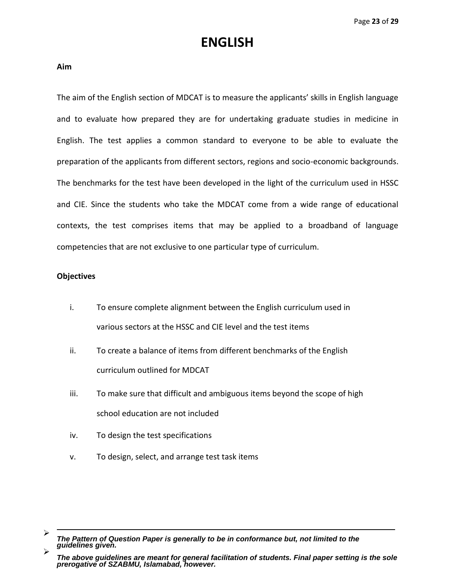# **ENGLISH**

**Aim**

The aim of the English section of MDCAT is to measure the applicants' skills in English language and to evaluate how prepared they are for undertaking graduate studies in medicine in English. The test applies a common standard to everyone to be able to evaluate the preparation of the applicants from different sectors, regions and socio-economic backgrounds. The benchmarks for the test have been developed in the light of the curriculum used in HSSC and CIE. Since the students who take the MDCAT come from a wide range of educational contexts, the test comprises items that may be applied to a broadband of language competencies that are not exclusive to one particular type of curriculum.

### **Objectives**

- i. To ensure complete alignment between the English curriculum used in various sectors at the HSSC and CIE level and the test items
- ii. To create a balance of items from different benchmarks of the English curriculum outlined for MDCAT
- iii. To make sure that difficult and ambiguous items beyond the scope of high school education are not included
- iv. To design the test specifications
- v. To design, select, and arrange test task items

 $\blacktriangleright$ *The Pattern of Question Paper is generally to be in conformance but, not limited to the guidelines given.*  $\blacktriangleright$ 

*The above guidelines are meant for general facilitation of students. Final paper setting is the sole prerogative of SZABMU, Islamabad, however.*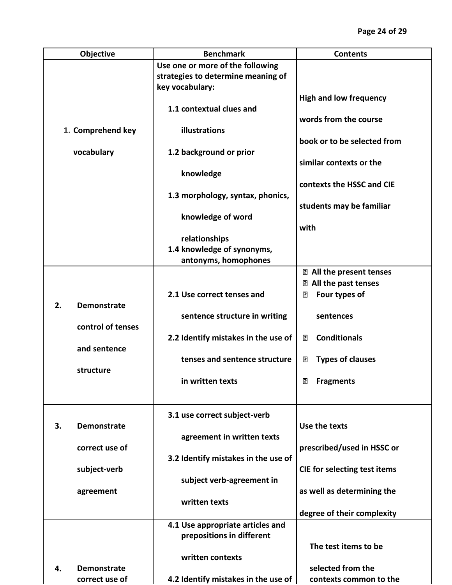|    | Objective          | <b>Benchmark</b>                    | <b>Contents</b>                                    |
|----|--------------------|-------------------------------------|----------------------------------------------------|
|    |                    | Use one or more of the following    |                                                    |
|    |                    | strategies to determine meaning of  |                                                    |
|    |                    | key vocabulary:                     |                                                    |
|    |                    |                                     | <b>High and low frequency</b>                      |
|    |                    | 1.1 contextual clues and            |                                                    |
|    | 1. Comprehend key  | illustrations                       | words from the course                              |
|    |                    |                                     | book or to be selected from                        |
|    | vocabulary         | 1.2 background or prior             |                                                    |
|    |                    |                                     | similar contexts or the                            |
|    |                    | knowledge                           |                                                    |
|    |                    |                                     | contexts the HSSC and CIE                          |
|    |                    | 1.3 morphology, syntax, phonics,    |                                                    |
|    |                    |                                     | students may be familiar                           |
|    |                    | knowledge of word                   |                                                    |
|    |                    |                                     | with                                               |
|    |                    | relationships                       |                                                    |
|    |                    | 1.4 knowledge of synonyms,          |                                                    |
|    |                    | antonyms, homophones                |                                                    |
|    |                    |                                     | <b>Z</b> All the present tenses                    |
|    |                    |                                     | <b>Z</b> All the past tenses                       |
|    |                    | 2.1 Use correct tenses and          | Four types of<br>⊡                                 |
| 2. | <b>Demonstrate</b> |                                     |                                                    |
|    |                    | sentence structure in writing       | sentences                                          |
|    | control of tenses  | 2.2 Identify mistakes in the use of | <b>Conditionals</b><br>⊡                           |
|    | and sentence       |                                     |                                                    |
|    |                    | tenses and sentence structure       | <b>Types of clauses</b><br>$\overline{\mathbf{E}}$ |
|    | structure          |                                     |                                                    |
|    |                    | in written texts                    | ⊡<br><b>Fragments</b>                              |
|    |                    |                                     |                                                    |
|    |                    |                                     |                                                    |
|    |                    | 3.1 use correct subject-verb        |                                                    |
| 3. | <b>Demonstrate</b> |                                     | Use the texts                                      |
|    |                    | agreement in written texts          |                                                    |
|    | correct use of     |                                     | prescribed/used in HSSC or                         |
|    |                    | 3.2 Identify mistakes in the use of |                                                    |
|    | subject-verb       |                                     | CIE for selecting test items                       |
|    |                    | subject verb-agreement in           |                                                    |
|    | agreement          |                                     | as well as determining the                         |
|    |                    | written texts                       |                                                    |
|    |                    |                                     | degree of their complexity                         |
|    |                    | 4.1 Use appropriate articles and    |                                                    |
|    |                    | prepositions in different           |                                                    |
|    |                    |                                     | The test items to be                               |
|    |                    | written contexts                    |                                                    |
| 4. | <b>Demonstrate</b> |                                     | selected from the                                  |
|    | correct use of     | 4.2 Identify mistakes in the use of | contexts common to the                             |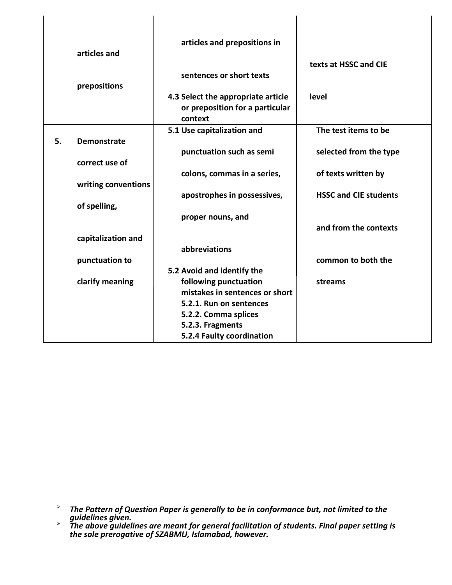|    | articles and<br>prepositions | articles and prepositions in<br>sentences or short texts                         | texts at HSSC and CIE        |
|----|------------------------------|----------------------------------------------------------------------------------|------------------------------|
|    |                              | 4.3 Select the appropriate article<br>or preposition for a particular<br>context | level                        |
|    |                              | 5.1 Use capitalization and                                                       | The test items to be         |
| 5. | <b>Demonstrate</b>           |                                                                                  |                              |
|    | correct use of               | punctuation such as semi                                                         | selected from the type       |
|    |                              | colons, commas in a series,                                                      | of texts written by          |
|    | writing conventions          |                                                                                  |                              |
|    |                              | apostrophes in possessives,                                                      | <b>HSSC and CIE students</b> |
|    | of spelling,                 |                                                                                  |                              |
|    |                              | proper nouns, and                                                                |                              |
|    |                              |                                                                                  | and from the contexts        |
|    | capitalization and           | abbreviations                                                                    |                              |
|    | punctuation to               |                                                                                  | common to both the           |
|    |                              | 5.2 Avoid and identify the                                                       |                              |
|    | clarify meaning              | following punctuation                                                            | streams                      |
|    |                              | mistakes in sentences or short                                                   |                              |
|    |                              | 5.2.1. Run on sentences                                                          |                              |
|    |                              | 5.2.2. Comma splices                                                             |                              |
|    |                              | 5.2.3. Fragments                                                                 |                              |
|    |                              | 5.2.4 Faulty coordination                                                        |                              |

l.

 $\blacktriangleright$ *The Pattern of Question Paper is generally to be in conformance but, not limited to the guidelines given.*

 $\blacktriangleright$ *The above guidelines are meant for general facilitation of students. Final paper setting is the sole prerogative of SZABMU, Islamabad, however.*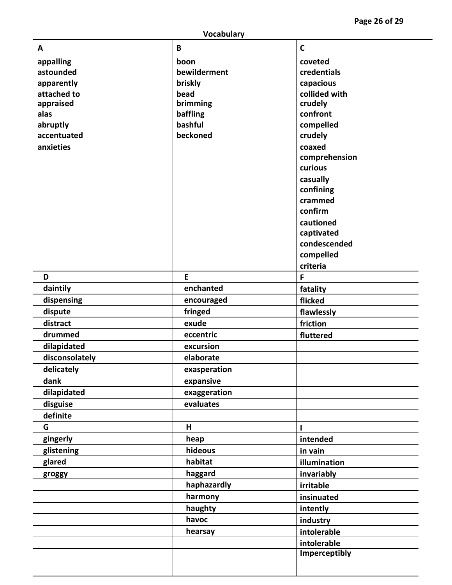**Page 2 6 of 29**

| <b>Vocabulary</b> |              |               |  |
|-------------------|--------------|---------------|--|
| A                 | B            | $\mathsf{C}$  |  |
| appalling         | boon         | coveted       |  |
| astounded         | bewilderment | credentials   |  |
| apparently        | briskly      | capacious     |  |
| attached to       | bead         | collided with |  |
| appraised         | brimming     | crudely       |  |
| alas              | baffling     | confront      |  |
| abruptly          | bashful      | compelled     |  |
| accentuated       | beckoned     | crudely       |  |
| anxieties         |              | coaxed        |  |
|                   |              | comprehension |  |
|                   |              | curious       |  |
|                   |              | casually      |  |
|                   |              | confining     |  |
|                   |              | crammed       |  |
|                   |              | confirm       |  |
|                   |              | cautioned     |  |
|                   |              | captivated    |  |
|                   |              | condescended  |  |
|                   |              | compelled     |  |
|                   |              | criteria      |  |
| D                 | E            | F             |  |
| daintily          | enchanted    | fatality      |  |
| dispensing        | encouraged   | flicked       |  |
| dispute           | fringed      | flawlessly    |  |
| distract          | exude        | friction      |  |
| drummed           | eccentric    | fluttered     |  |
| dilapidated       | excursion    |               |  |
| disconsolately    | elaborate    |               |  |
| delicately        | exasperation |               |  |
| dank              | expansive    |               |  |
| dilapidated       | exaggeration |               |  |
| disguise          | evaluates    |               |  |
| definite          |              |               |  |
| G                 | H            | ı             |  |
| gingerly          | heap         | intended      |  |
| glistening        | hideous      | in vain       |  |
| glared            | habitat      | illumination  |  |
| groggy            | haggard      | invariably    |  |
|                   | haphazardly  | irritable     |  |
|                   | harmony      | insinuated    |  |
|                   | haughty      | intently      |  |
|                   | havoc        | industry      |  |
|                   | hearsay      | intolerable   |  |
|                   |              | intolerable   |  |
|                   |              | Imperceptibly |  |
|                   |              |               |  |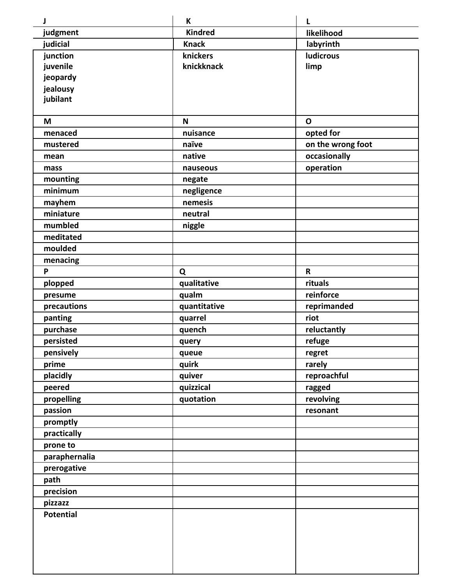| J                         | K              | L                        |
|---------------------------|----------------|--------------------------|
| judgment                  | <b>Kindred</b> | likelihood               |
| judicial                  | <b>Knack</b>   | labyrinth                |
| junction                  | knickers       | <b>ludicrous</b>         |
| juvenile                  | knickknack     | limp                     |
| jeopardy                  |                |                          |
| jealousy                  |                |                          |
| jubilant                  |                |                          |
|                           |                |                          |
| M<br>menaced              | N<br>nuisance  | $\mathbf 0$<br>opted for |
| mustered                  | naïve          | on the wrong foot        |
| mean                      | native         | occasionally             |
| mass                      | nauseous       | operation                |
| mounting                  | negate         |                          |
| minimum                   | negligence     |                          |
| mayhem                    | nemesis        |                          |
| miniature                 | neutral        |                          |
| mumbled                   | niggle         |                          |
| meditated                 |                |                          |
| moulded                   |                |                          |
| menacing                  |                |                          |
| P                         | Q              | $\mathbf R$              |
| plopped                   | qualitative    | rituals                  |
| presume                   | qualm          | reinforce                |
| precautions               | quantitative   | reprimanded              |
| panting                   | quarrel        | riot                     |
| purchase                  | quench         | reluctantly              |
| persisted                 | query          | refuge                   |
| pensively                 | queue          | regret                   |
| prime                     | quirk          | rarely                   |
| placidly                  | quiver         | reproachful              |
| peered                    | quizzical      | ragged                   |
| propelling                | quotation      | revolving                |
| passion                   |                | resonant                 |
| promptly                  |                |                          |
| practically               |                |                          |
| prone to<br>paraphernalia |                |                          |
| prerogative               |                |                          |
| path                      |                |                          |
| precision                 |                |                          |
| pizzazz                   |                |                          |
| Potential                 |                |                          |
|                           |                |                          |
|                           |                |                          |
|                           |                |                          |
|                           |                |                          |
|                           |                |                          |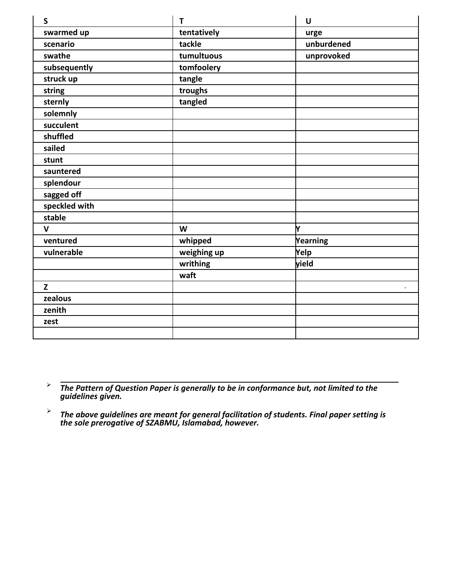| $\mathsf{S}$  | $\mathsf{T}$ | $\mathsf U$ |
|---------------|--------------|-------------|
| swarmed up    | tentatively  | urge        |
| scenario      | tackle       | unburdened  |
| swathe        | tumultuous   | unprovoked  |
| subsequently  | tomfoolery   |             |
| struck up     | tangle       |             |
| string        | troughs      |             |
| sternly       | tangled      |             |
| solemnly      |              |             |
| succulent     |              |             |
| shuffled      |              |             |
| sailed        |              |             |
| stunt         |              |             |
| sauntered     |              |             |
| splendour     |              |             |
| sagged off    |              |             |
| speckled with |              |             |
| stable        |              |             |
| $\mathbf v$   | W            | ŀ۷          |
| ventured      | whipped      | Yearning    |
| vulnerable    | weighing up  | Yelp        |
|               | writhing     | yield       |
|               | waft         |             |
| $\mathbf{Z}$  |              |             |
| zealous       |              |             |
| zenith        |              |             |
| zest          |              |             |
|               |              |             |

 $\blacktriangleright$ *The Pattern of Question Paper is generally to be in conformance but, not limited to the guidelines given.*

 $\blacktriangleright$ *The above guidelines are meant for general facilitation of students. Final paper setting is the sole prerogative of SZABMU, Islamabad, however.*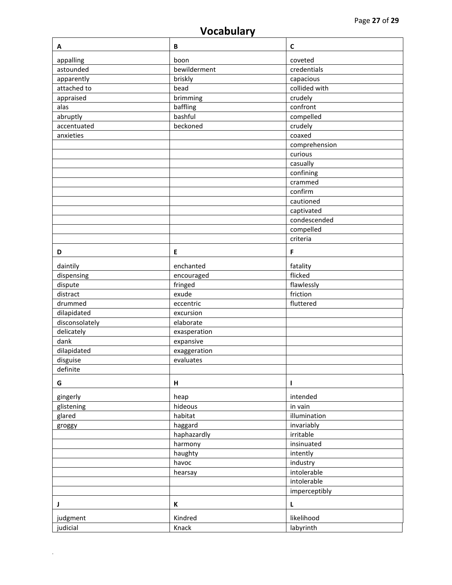# **Vocabulary**

| A              | B            | $\mathsf{C}$  |
|----------------|--------------|---------------|
| appalling      | boon         | coveted       |
| astounded      | bewilderment | credentials   |
| apparently     | briskly      | capacious     |
| attached to    | bead         | collided with |
| appraised      | brimming     | crudely       |
| alas           | baffling     | confront      |
| abruptly       | bashful      | compelled     |
| accentuated    | beckoned     | crudely       |
| anxieties      |              | coaxed        |
|                |              | comprehension |
|                |              | curious       |
|                |              | casually      |
|                |              | confining     |
|                |              | crammed       |
|                |              | confirm       |
|                |              | cautioned     |
|                |              | captivated    |
|                |              | condescended  |
|                |              | compelled     |
|                |              | criteria      |
| D              | E            | F             |
|                |              |               |
| daintily       | enchanted    | fatality      |
| dispensing     | encouraged   | flicked       |
| dispute        | fringed      | flawlessly    |
| distract       | exude        | friction      |
| drummed        | eccentric    | fluttered     |
| dilapidated    | excursion    |               |
| disconsolately | elaborate    |               |
| delicately     | exasperation |               |
| dank           | expansive    |               |
| dilapidated    | exaggeration |               |
| disguise       | evaluates    |               |
| definite       |              |               |
| G              | н            | п             |
| gingerly       | heap         | intended      |
| glistening     | hideous      | in vain       |
| glared         | habitat      | illumination  |
| groggy         | haggard      | invariably    |
|                | haphazardly  | irritable     |
|                | harmony      | insinuated    |
|                | haughty      | intently      |
|                | havoc        | industry      |
|                | hearsay      | intolerable   |
|                |              | intolerable   |
|                |              | imperceptibly |
| J              | K            | L             |
|                |              | likelihood    |
| judgment       | Kindred      |               |
| judicial       | Knack        | labyrinth     |

 $\mathcal{L}^{\pm}$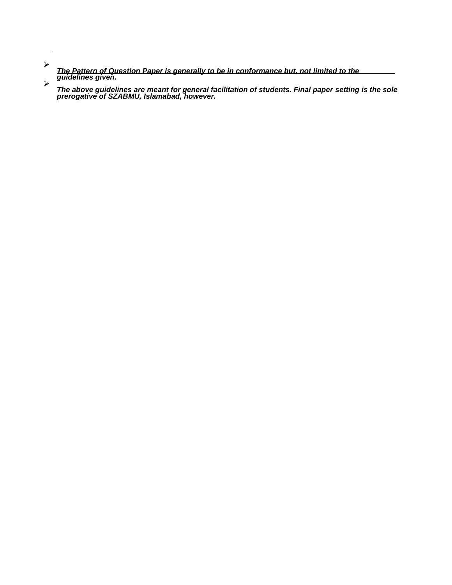$\blacktriangleright$ *The Pattern of Question Paper is generally to be in conformance but, not limited to the guidelines given.*

 $\ddot{\phantom{1}}$ 

≻ *The above guidelines are meant for general facilitation of students. Final paper setting is the sole prerogative of SZABMU, Islamabad, however.*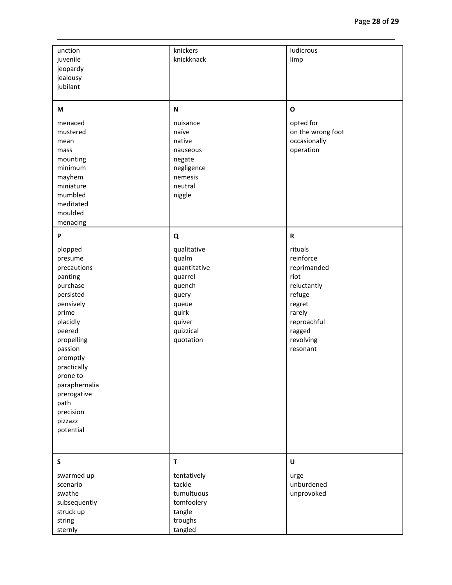| unction<br>juvenile<br>jeopardy<br>jealousy<br>jubilant                                                                                                                                                                                                             | knickers<br>knickknack                                                                                                        | ludicrous<br>limp                                                                                                                                         |
|---------------------------------------------------------------------------------------------------------------------------------------------------------------------------------------------------------------------------------------------------------------------|-------------------------------------------------------------------------------------------------------------------------------|-----------------------------------------------------------------------------------------------------------------------------------------------------------|
| М<br>menaced<br>mustered<br>mean<br>mass<br>mounting<br>minimum<br>mayhem<br>miniature<br>mumbled<br>meditated<br>moulded<br>menacing                                                                                                                               | N<br>nuisance<br>naïve<br>native<br>nauseous<br>negate<br>negligence<br>nemesis<br>neutral<br>niggle                          | $\mathbf{o}$<br>opted for<br>on the wrong foot<br>occasionally<br>operation                                                                               |
| P<br>plopped<br>presume<br>precautions<br>panting<br>purchase<br>persisted<br>pensively<br>prime<br>placidly<br>peered<br>propelling<br>passion<br>promptly<br>practically<br>prone to<br>paraphernalia<br>prerogative<br>path<br>precision<br>pizzazz<br>potential | Q<br>qualitative<br>qualm<br>quantitative<br>quarrel<br>quench<br>query<br>queue<br>quirk<br>quiver<br>quizzical<br>quotation | $\mathbf R$<br>rituals<br>reinforce<br>reprimanded<br>riot<br>reluctantly<br>refuge<br>regret<br>rarely<br>reproachful<br>ragged<br>revolving<br>resonant |
| S<br>swarmed up<br>scenario<br>swathe<br>subsequently<br>struck up<br>string<br>sternly                                                                                                                                                                             | T<br>tentatively<br>tackle<br>tumultuous<br>tomfoolery<br>tangle<br>troughs<br>tangled                                        | $\cup$<br>urge<br>unburdened<br>unprovoked                                                                                                                |